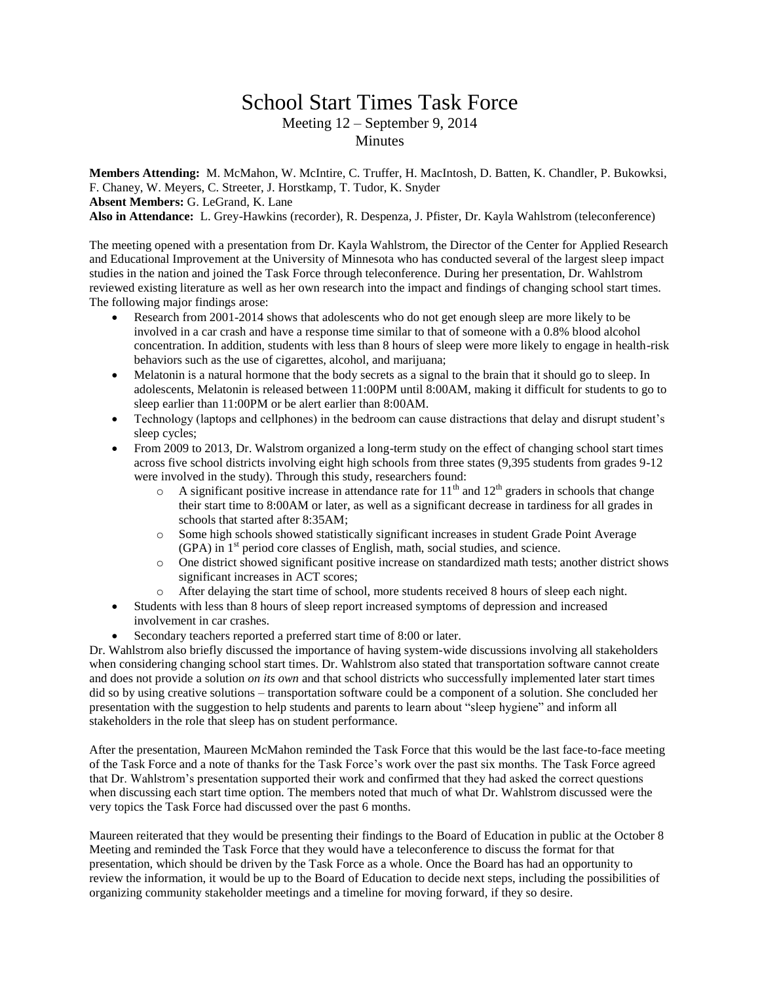## School Start Times Task Force Meeting 12 – September 9, 2014 **Minutes**

**Members Attending:** M. McMahon, W. McIntire, C. Truffer, H. MacIntosh, D. Batten, K. Chandler, P. Bukowksi, F. Chaney, W. Meyers, C. Streeter, J. Horstkamp, T. Tudor, K. Snyder **Absent Members:** G. LeGrand, K. Lane

**Also in Attendance:** L. Grey-Hawkins (recorder), R. Despenza, J. Pfister, Dr. Kayla Wahlstrom (teleconference)

The meeting opened with a presentation from Dr. Kayla Wahlstrom, the Director of the Center for Applied Research and Educational Improvement at the University of Minnesota who has conducted several of the largest sleep impact studies in the nation and joined the Task Force through teleconference. During her presentation, Dr. Wahlstrom reviewed existing literature as well as her own research into the impact and findings of changing school start times. The following major findings arose:

- Research from 2001-2014 shows that adolescents who do not get enough sleep are more likely to be involved in a car crash and have a response time similar to that of someone with a 0.8% blood alcohol concentration. In addition, students with less than 8 hours of sleep were more likely to engage in health-risk behaviors such as the use of cigarettes, alcohol, and marijuana;
- Melatonin is a natural hormone that the body secrets as a signal to the brain that it should go to sleep. In adolescents, Melatonin is released between 11:00PM until 8:00AM, making it difficult for students to go to sleep earlier than 11:00PM or be alert earlier than 8:00AM.
- Technology (laptops and cellphones) in the bedroom can cause distractions that delay and disrupt student's sleep cycles;
- From 2009 to 2013, Dr. Walstrom organized a long-term study on the effect of changing school start times across five school districts involving eight high schools from three states (9,395 students from grades 9-12 were involved in the study). Through this study, researchers found:
	- $\circ$  A significant positive increase in attendance rate for 11<sup>th</sup> and 12<sup>th</sup> graders in schools that change their start time to 8:00AM or later, as well as a significant decrease in tardiness for all grades in schools that started after 8:35AM;
	- o Some high schools showed statistically significant increases in student Grade Point Average  $(GPA)$  in  $1<sup>st</sup>$  period core classes of English, math, social studies, and science.
	- o One district showed significant positive increase on standardized math tests; another district shows significant increases in ACT scores;
	- o After delaying the start time of school, more students received 8 hours of sleep each night.
- Students with less than 8 hours of sleep report increased symptoms of depression and increased involvement in car crashes.
- Secondary teachers reported a preferred start time of 8:00 or later.

Dr. Wahlstrom also briefly discussed the importance of having system-wide discussions involving all stakeholders when considering changing school start times. Dr. Wahlstrom also stated that transportation software cannot create and does not provide a solution *on its own* and that school districts who successfully implemented later start times did so by using creative solutions – transportation software could be a component of a solution. She concluded her presentation with the suggestion to help students and parents to learn about "sleep hygiene" and inform all stakeholders in the role that sleep has on student performance.

After the presentation, Maureen McMahon reminded the Task Force that this would be the last face-to-face meeting of the Task Force and a note of thanks for the Task Force's work over the past six months. The Task Force agreed that Dr. Wahlstrom's presentation supported their work and confirmed that they had asked the correct questions when discussing each start time option. The members noted that much of what Dr. Wahlstrom discussed were the very topics the Task Force had discussed over the past 6 months.

Maureen reiterated that they would be presenting their findings to the Board of Education in public at the October 8 Meeting and reminded the Task Force that they would have a teleconference to discuss the format for that presentation, which should be driven by the Task Force as a whole. Once the Board has had an opportunity to review the information, it would be up to the Board of Education to decide next steps, including the possibilities of organizing community stakeholder meetings and a timeline for moving forward, if they so desire.